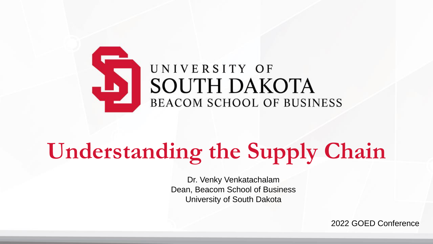

# **Understanding the Supply Chain**

Dr. Venky Venkatachalam Dean, Beacom School of Business University of South Dakota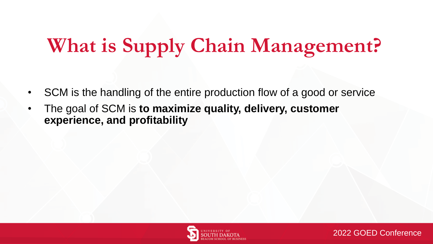### **What is Supply Chain Management?**

- SCM is the handling of the entire production flow of a good or service
- The goal of SCM is **to maximize quality, delivery, customer experience, and profitability**

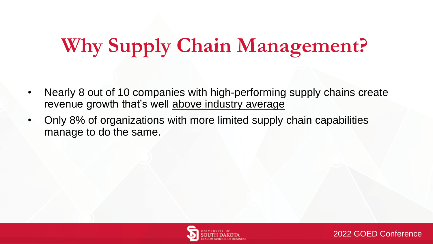### **Why Supply Chain Management?**

- Nearly 8 out of 10 companies with high-performing supply chains create revenue growth that's well above industry average
- Only 8% of organizations with more limited supply chain capabilities manage to do the same.



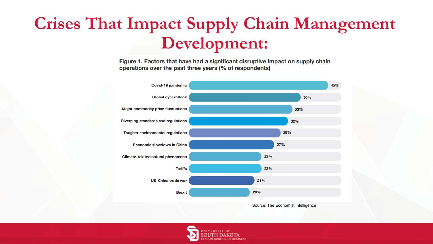### **Crises That Impact Supply Chain Management Development:**

Figure 1. Factors that have had a significant disruptive impact on supply chain operations over the past three years (% of respondents)



Source: The Economist Intelligence

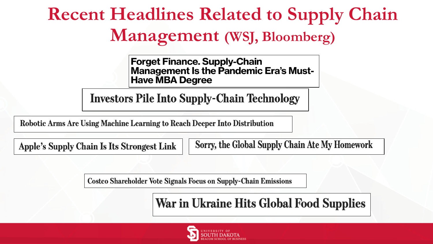### **Recent Headlines Related to Supply Chain** Management (WSJ, Bloomberg)

**Forget Finance. Supply-Chain Management Is the Pandemic Era's Must-Have MBA Degree** 

**Investors Pile Into Supply-Chain Technology** 

Robotic Arms Are Using Machine Learning to Reach Deeper Into Distribution

**Apple's Supply Chain Is Its Strongest Link** 

Sorry, the Global Supply Chain Ate My Homework

**Costco Shareholder Vote Signals Focus on Supply-Chain Emissions** 

War in Ukraine Hits Global Food Supplies

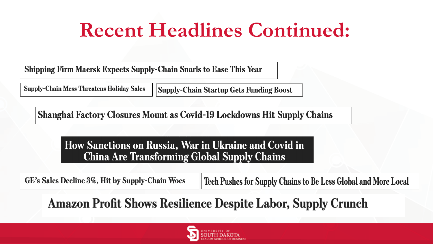### **Recent Headlines Continued:**

**Shipping Firm Maersk Expects Supply-Chain Snarls to Ease This Year** 

**Supply-Chain Mess Threatens Holiday Sales Supply-Chain Startup Gets Funding Boost** 

Shanghai Factory Closures Mount as Covid-19 Lockdowns Hit Supply Chains

How Sanctions on Russia, War in Ukraine and Covid in **China Are Transforming Global Supply Chains** 

GE's Sales Decline 3%, Hit by Supply-Chain Woes

Tech Pushes for Supply Chains to Be Less Global and More Local

### **Amazon Profit Shows Resilience Despite Labor, Supply Crunch**

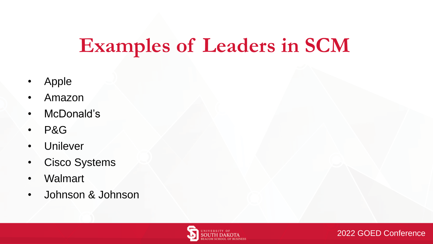### **Examples of Leaders in SCM**

- Apple
- Amazon
- McDonald's
- P&G
- Unilever
- Cisco Systems
- Walmart
- Johnson & Johnson



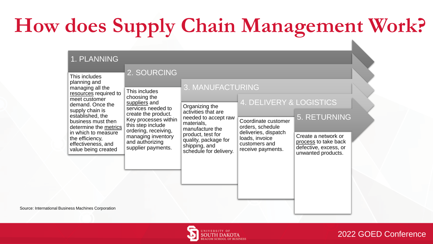## **How does Supply Chain Management Work?**

#### 1. PLANNING

| This includes                                                                                                                                                                                                                                                               | 2. SOURCING                                                                                                                                                                                                                     |                                                                                                                                                                                                            |                                                                                                                                                    |                                                                                                                   |  |
|-----------------------------------------------------------------------------------------------------------------------------------------------------------------------------------------------------------------------------------------------------------------------------|---------------------------------------------------------------------------------------------------------------------------------------------------------------------------------------------------------------------------------|------------------------------------------------------------------------------------------------------------------------------------------------------------------------------------------------------------|----------------------------------------------------------------------------------------------------------------------------------------------------|-------------------------------------------------------------------------------------------------------------------|--|
| planning and<br>managing all the<br>resources required to<br>meet customer<br>demand. Once the<br>supply chain is<br>established, the<br>business must then<br>determine the metrics<br>in which to measure<br>the efficiency,<br>effectiveness, and<br>value being created | This includes<br>choosing the<br>suppliers and<br>services needed to<br>create the product.<br>Key processes within<br>this step include<br>ordering, receiving,<br>managing inventory<br>and authorizing<br>supplier payments. | 3. MANUFACTURING<br>Organizing the<br>activities that are<br>needed to accept raw<br>materials,<br>manufacture the<br>product, test for<br>quality, package for<br>shipping, and<br>schedule for delivery. | 4. DELIVERY & LOGISTICS<br>Coordinate customer<br>orders, schedule<br>deliveries, dispatch<br>loads, invoice<br>customers and<br>receive payments. | <b>5. RETURNING</b><br>Create a network or<br>process to take back<br>defective, excess, or<br>unwanted products. |  |
|                                                                                                                                                                                                                                                                             |                                                                                                                                                                                                                                 |                                                                                                                                                                                                            |                                                                                                                                                    |                                                                                                                   |  |

Source: International Business Machines Corporation

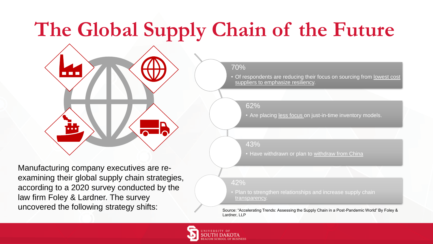### **The Global Supply Chain of the Future**

70%

• Of respondents are reducing their focus on sourcing from lowest cost suppliers to emphasize resiliency.

62%

• Are placing less focus on just-in-time inventory models.

43%

• Have withdrawn or plan to withdraw from China

42%

• Plan to strengthen relationships and increase supply chain transparency.

Lardner, LLP



Manufacturing company executives are reexamining their global supply chain strategies, according to a 2020 survey conducted by the law firm Foley & Lardner. The survey uncovered the following strategy shifts: Source: "Accelerating Trends: Assessing the Supply Chain in a Post-Pandemic World" By Foley &

n n r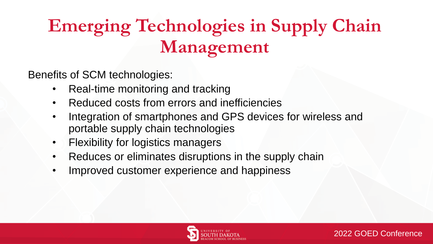### **Emerging Technologies in Supply Chain Management**

Benefits of SCM technologies:

- Real-time monitoring and tracking
- Reduced costs from errors and inefficiencies
- Integration of smartphones and GPS devices for wireless and portable supply chain technologies
- Flexibility for logistics managers
- Reduces or eliminates disruptions in the supply chain
- Improved customer experience and happiness

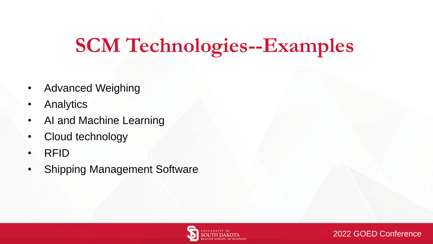### **SCM Technologies--Examples**

- Advanced Weighing
- **Analytics**
- AI and Machine Learning
- Cloud technology
- RFID
- **Shipping Management Software**



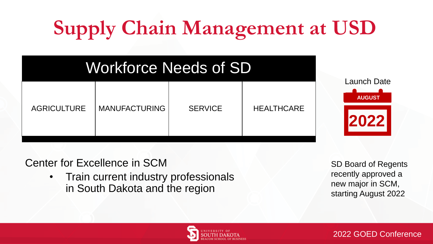# **Supply Chain Management at USD**

### Workforce Needs of SD

| <b>MANUFACTURING</b><br><b>AGRICULTURE</b> | <b>SERVICE</b> | <b>HEALTHCARE</b> |
|--------------------------------------------|----------------|-------------------|
|--------------------------------------------|----------------|-------------------|

**AUGUST 2022** Launch Date

Center for Excellence in SCM

• Train current industry professionals in South Dakota and the region

SD Board of Regents recently approved a new major in SCM, starting August 2022